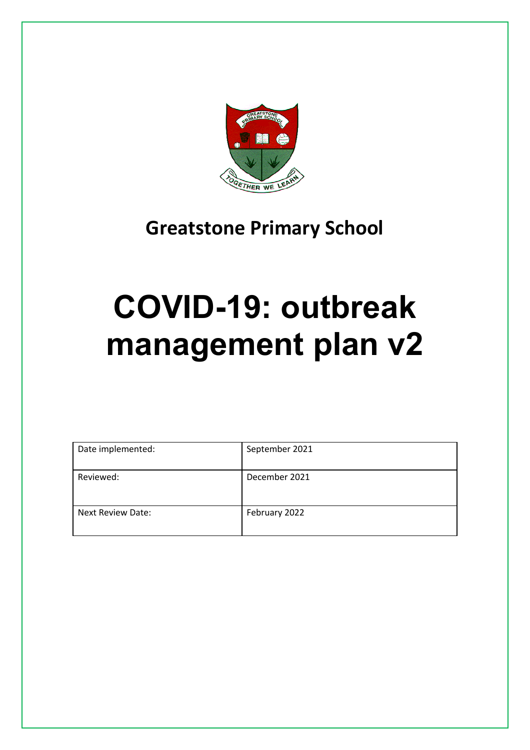

# **Greatstone Primary School**

# **COVID-19: outbreak management plan v2**

| Date implemented:        | September 2021 |
|--------------------------|----------------|
| Reviewed:                | December 2021  |
| <b>Next Review Date:</b> | February 2022  |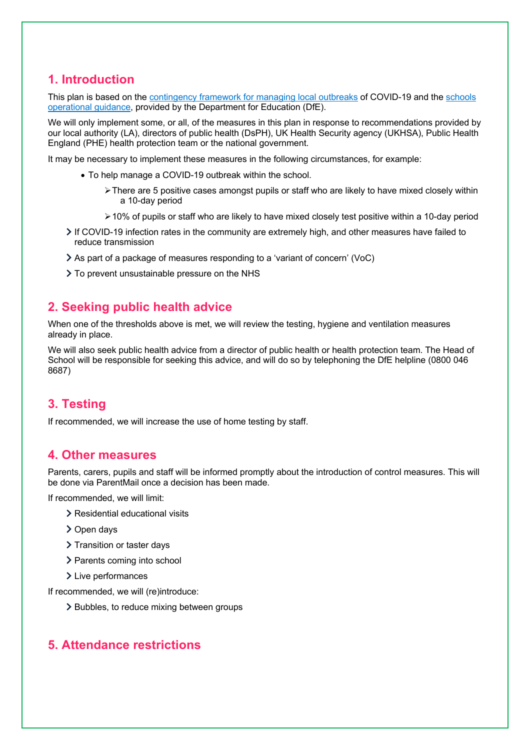# **1. Introduction**

This plan is based on the contingency framework for managing local outbreaks of COVID-19 and the schools operational guidance, provided by the Department for Education (DfE).

We will only implement some, or all, of the measures in this plan in response to recommendations provided by our local authority (LA), directors of public health (DsPH), UK Health Security agency (UKHSA), Public Health England (PHE) health protection team or the national government.

It may be necessary to implement these measures in the following circumstances, for example:

- To help manage a COVID-19 outbreak within the school.
	- $\triangleright$  There are 5 positive cases amongst pupils or staff who are likely to have mixed closely within a 10-day period
	- $\geq$  10% of pupils or staff who are likely to have mixed closely test positive within a 10-day period
- If COVID-19 infection rates in the community are extremely high, and other measures have failed to reduce transmission
- As part of a package of measures responding to a 'variant of concern' (VoC)
- > To prevent unsustainable pressure on the NHS

## **2. Seeking public health advice**

When one of the thresholds above is met, we will review the testing, hygiene and ventilation measures already in place.

We will also seek public health advice from a director of public health or health protection team. The Head of School will be responsible for seeking this advice, and will do so by telephoning the DfE helpline (0800 046 8687)

# **3. Testing**

If recommended, we will increase the use of home testing by staff.

### **4. Other measures**

Parents, carers, pupils and staff will be informed promptly about the introduction of control measures. This will be done via ParentMail once a decision has been made.

If recommended, we will limit:

- > Residential educational visits
- > Open days
- > Transition or taster days
- > Parents coming into school
- > Live performances

If recommended, we will (re)introduce:

> Bubbles, to reduce mixing between groups

# **5. Attendance restrictions**